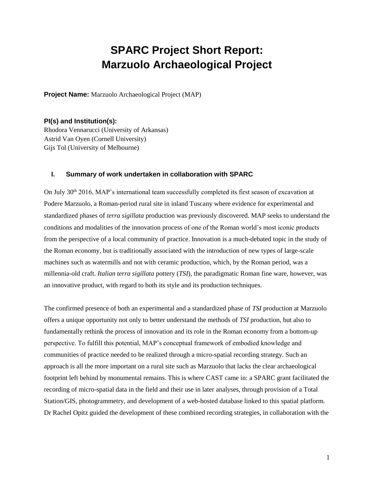# **SPARC Project Short Report: Marzuolo Archaeological Project**

**Project Name:** Marzuolo Archaeological Project (MAP)

#### **PI(s) and Institution(s):**

Rhodora Vennarucci (University of Arkansas) Astrid Van Oyen (Cornell University) Gijs Tol (University of Melbourne)

#### **I. Summary of work undertaken in collaboration with SPARC**

On July 30<sup>th</sup> 2016, MAP's international team successfully completed its first season of excavation at Podere Marzuolo, a Roman-period rural site in inland Tuscany where evidence for experimental and standardized phases of *terra sigillata* production was previously discovered. MAP seeks to understand the conditions and modalities of the innovation process of one of the Roman world's most iconic products from the perspective of a local community of practice. Innovation is a much-debated topic in the study of the Roman economy, but is traditionally associated with the introduction of new types of large-scale machines such as watermills and not with ceramic production, which, by the Roman period, was a millennia-old craft. *Italian terra sigillata* pottery (*TSI*), the paradigmatic Roman fine ware, however, was an innovative product, with regard to both its style and its production techniques.

The confirmed presence of both an experimental and a standardized phase of *TSI* production at Marzuolo offers a unique opportunity not only to better understand the methods of *TSI* production, but also to fundamentally rethink the process of innovation and its role in the Roman economy from a bottom-up perspective. To fulfill this potential, MAP's conceptual framework of embodied knowledge and communities of practice needed to be realized through a micro-spatial recording strategy. Such an approach is all the more important on a rural site such as Marzuolo that lacks the clear archaeological footprint left behind by monumental remains. This is where CAST came in: a SPARC grant facilitated the recording of micro-spatial data in the field and their use in later analyses, through provision of a Total Station/GIS, photogrammetry, and development of a web-hosted database linked to this spatial platform. Dr Rachel Opitz guided the development of these combined recording strategies, in collaboration with the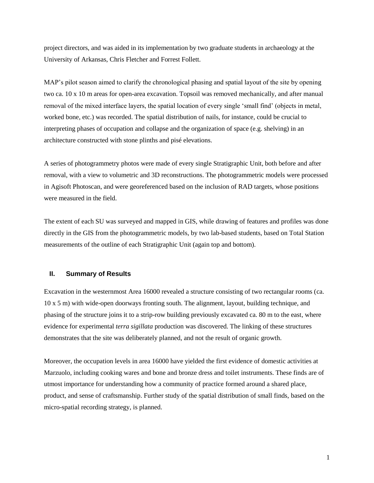project directors, and was aided in its implementation by two graduate students in archaeology at the University of Arkansas, Chris Fletcher and Forrest Follett.

MAP's pilot season aimed to clarify the chronological phasing and spatial layout of the site by opening two ca. 10 x 10 m areas for open-area excavation. Topsoil was removed mechanically, and after manual removal of the mixed interface layers, the spatial location of every single 'small find' (objects in metal, worked bone, etc.) was recorded. The spatial distribution of nails, for instance, could be crucial to interpreting phases of occupation and collapse and the organization of space (e.g. shelving) in an architecture constructed with stone plinths and pisé elevations.

A series of photogrammetry photos were made of every single Stratigraphic Unit, both before and after removal, with a view to volumetric and 3D reconstructions. The photogrammetric models were processed in Agisoft Photoscan, and were georeferenced based on the inclusion of RAD targets, whose positions were measured in the field.

The extent of each SU was surveyed and mapped in GIS, while drawing of features and profiles was done directly in the GIS from the photogrammetric models, by two lab-based students, based on Total Station measurements of the outline of each Stratigraphic Unit (again top and bottom).

### **II. Summary of Results**

Excavation in the westernmost Area 16000 revealed a structure consisting of two rectangular rooms (ca. 10 x 5 m) with wide-open doorways fronting south. The alignment, layout, building technique, and phasing of the structure joins it to a strip-row building previously excavated ca. 80 m to the east, where evidence for experimental *terra sigillata* production was discovered. The linking of these structures demonstrates that the site was deliberately planned, and not the result of organic growth.

Moreover, the occupation levels in area 16000 have yielded the first evidence of domestic activities at Marzuolo, including cooking wares and bone and bronze dress and toilet instruments. These finds are of utmost importance for understanding how a community of practice formed around a shared place, product, and sense of craftsmanship. Further study of the spatial distribution of small finds, based on the micro-spatial recording strategy, is planned.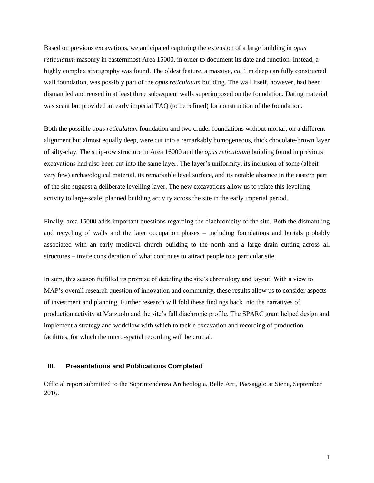Based on previous excavations, we anticipated capturing the extension of a large building in *opus reticulatum* masonry in easternmost Area 15000, in order to document its date and function. Instead, a highly complex stratigraphy was found. The oldest feature, a massive, ca. 1 m deep carefully constructed wall foundation, was possibly part of the *opus reticulatum* building. The wall itself, however, had been dismantled and reused in at least three subsequent walls superimposed on the foundation. Dating material was scant but provided an early imperial TAQ (to be refined) for construction of the foundation.

Both the possible *opus reticulatum* foundation and two cruder foundations without mortar, on a different alignment but almost equally deep, were cut into a remarkably homogeneous, thick chocolate-brown layer of silty-clay. The strip-row structure in Area 16000 and the *opus reticulatum* building found in previous excavations had also been cut into the same layer. The layer's uniformity, its inclusion of some (albeit very few) archaeological material, its remarkable level surface, and its notable absence in the eastern part of the site suggest a deliberate levelling layer. The new excavations allow us to relate this levelling activity to large-scale, planned building activity across the site in the early imperial period.

Finally, area 15000 adds important questions regarding the diachronicity of the site. Both the dismantling and recycling of walls and the later occupation phases – including foundations and burials probably associated with an early medieval church building to the north and a large drain cutting across all structures – invite consideration of what continues to attract people to a particular site.

In sum, this season fulfilled its promise of detailing the site's chronology and layout. With a view to MAP's overall research question of innovation and community, these results allow us to consider aspects of investment and planning. Further research will fold these findings back into the narratives of production activity at Marzuolo and the site's full diachronic profile. The SPARC grant helped design and implement a strategy and workflow with which to tackle excavation and recording of production facilities, for which the micro-spatial recording will be crucial.

## **III. Presentations and Publications Completed**

Official report submitted to the Soprintendenza Archeologia, Belle Arti, Paesaggio at Siena, September 2016.